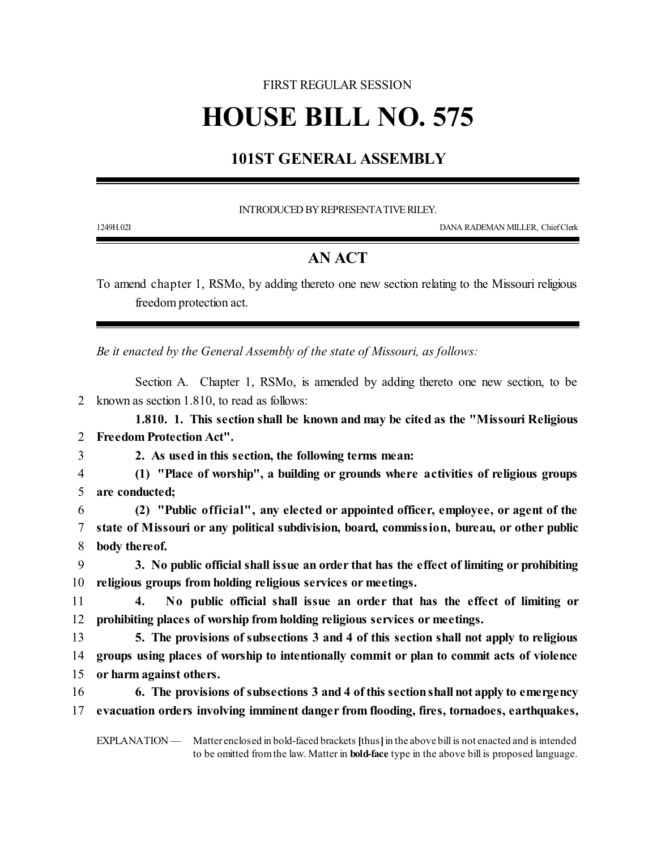#### FIRST REGULAR SESSION

# **HOUSE BILL NO. 575**

## **101ST GENERAL ASSEMBLY**

INTRODUCED BY REPRESENTATIVE RILEY.

1249H.02I DANA RADEMAN MILLER, ChiefClerk

### **AN ACT**

To amend chapter 1, RSMo, by adding thereto one new section relating to the Missouri religious freedom protection act.

*Be it enacted by the General Assembly of the state of Missouri, as follows:*

Section A. Chapter 1, RSMo, is amended by adding thereto one new section, to be 2 known as section 1.810, to read as follows:

**1.810. 1. This section shall be known and may be cited as the "Missouri Religious** 2 **Freedom Protection Act".**

3 **2. As used in this section, the following terms mean:**

4 **(1) "Place of worship", a building or grounds where activities of religious groups** 5 **are conducted;**

6 **(2) "Public official", any elected or appointed officer, employee, or agent of the** 7 **state of Missouri or any political subdivision, board, commission, bureau, or other public** 8 **body thereof.**

9 **3. No public official shall issue an order that has the effect of limiting or prohibiting** 10 **religious groups from holding religious services or meetings.**

11 **4. No public official shall issue an order that has the effect of limiting or** 12 **prohibiting places of worship from holding religious services or meetings.**

13 **5. The provisions of subsections 3 and 4 of this section shall not apply to religious** 14 **groups using places of worship to intentionally commit or plan to commit acts of violence** 15 **or harm against others.**

16 **6. The provisions of subsections 3 and 4 ofthis sectionshall not apply to emergency** 17 **evacuation orders involving imminent danger from flooding, fires, tornadoes, earthquakes,**

EXPLANATION — Matter enclosed in bold-faced brackets **[**thus**]**in the above bill is not enacted and is intended to be omitted fromthe law. Matter in **bold-face** type in the above bill is proposed language.